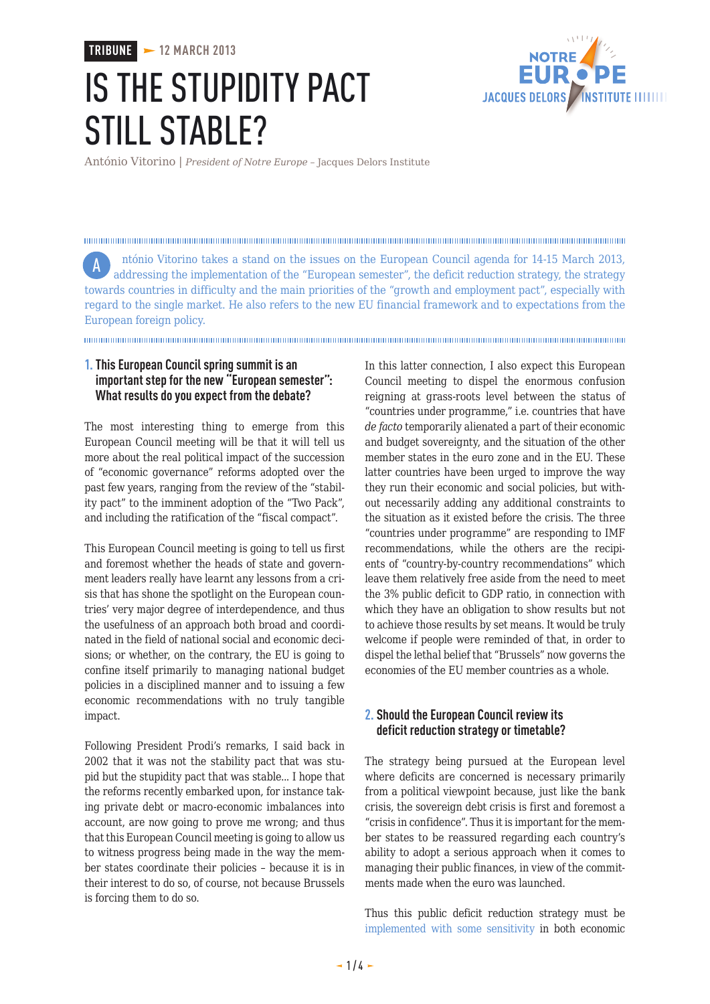**TRIBUNE 12 MARCH 2013**

# IS THE STUPIDITY PACT STILL STABLE?



António Vitorino | *President of Notre Europe –* Jacques Delors Institute

ntónio Vitorino takes a stand on the issues on the European Council agenda for 14-15 March 2013, Aaddressing the implementation of the "European semester", the deficit reduction strategy, the strategy towards countries in difficulty and the main priorities of the "growth and employment pact", especially with regard to the single market. He also refers to the new EU financial framework and to expectations from the European foreign policy.

## **1.This European Council spring summit is an important step for the new "European semester": What results do you expect from the debate?**

The most interesting thing to emerge from this European Council meeting will be that it will tell us more about the real political impact of the succession of "economic governance" reforms adopted over the past few years, ranging from the review of the "stability pact" to the imminent adoption of the "Two Pack", and including the ratification of the "fiscal compact".

This European Council meeting is going to tell us first and foremost whether the heads of state and government leaders really have learnt any lessons from a crisis that has shone the spotlight on the European countries' very major degree of interdependence, and thus the usefulness of an approach both broad and coordinated in the field of national social and economic decisions; or whether, on the contrary, the EU is going to confine itself primarily to managing national budget policies in a disciplined manner and to issuing a few economic recommendations with no truly tangible impact.

Following President Prodi's remarks, I said back in 2002 that it was not the stability pact that was stupid but the stupidity pact that was stable... I hope that the reforms recently embarked upon, for instance taking private debt or macro-economic imbalances into account, are now going to prove me wrong; and thus that this European Council meeting is going to allow us to witness progress being made in the way the member states coordinate their policies – because it is in their interest to do so, of course, not because Brussels is forcing them to do so.

In this latter connection, I also expect this European Council meeting to dispel the enormous confusion reigning at grass-roots level between the status of "countries under programme," i.e. countries that have *de facto* temporarily alienated a part of their economic and budget sovereignty, and the situation of the other member states in the euro zone and in the EU. These latter countries have been urged to improve the way they run their economic and social policies, but without necessarily adding any additional constraints to the situation as it existed before the crisis. The three "countries under programme" are responding to IMF recommendations, while the others are the recipients of "country-by-country recommendations" which leave them relatively free aside from the need to meet the 3% public deficit to GDP ratio, in connection with which they have an obligation to show results but not to achieve those results by set means. It would be truly welcome if people were reminded of that, in order to dispel the lethal belief that "Brussels" now governs the economies of the EU member countries as a whole.

## **2. Should the European Council review its deficit reduction strategy or timetable?**

The strategy being pursued at the European level where deficits are concerned is necessary primarily from a political viewpoint because, just like the bank crisis, the sovereign debt crisis is first and foremost a "crisis in confidence". Thus it is important for the member states to be reassured regarding each country's ability to adopt a serious approach when it comes to managing their public finances, in view of the commitments made when the euro was launched.

Thus this public deficit reduction strategy must be [implemented with some sensitivity](http://www.eng.notre-europe.eu/011-14803-What-balance-between-austerity-and-growth-in-the-euro-zone.html) in both economic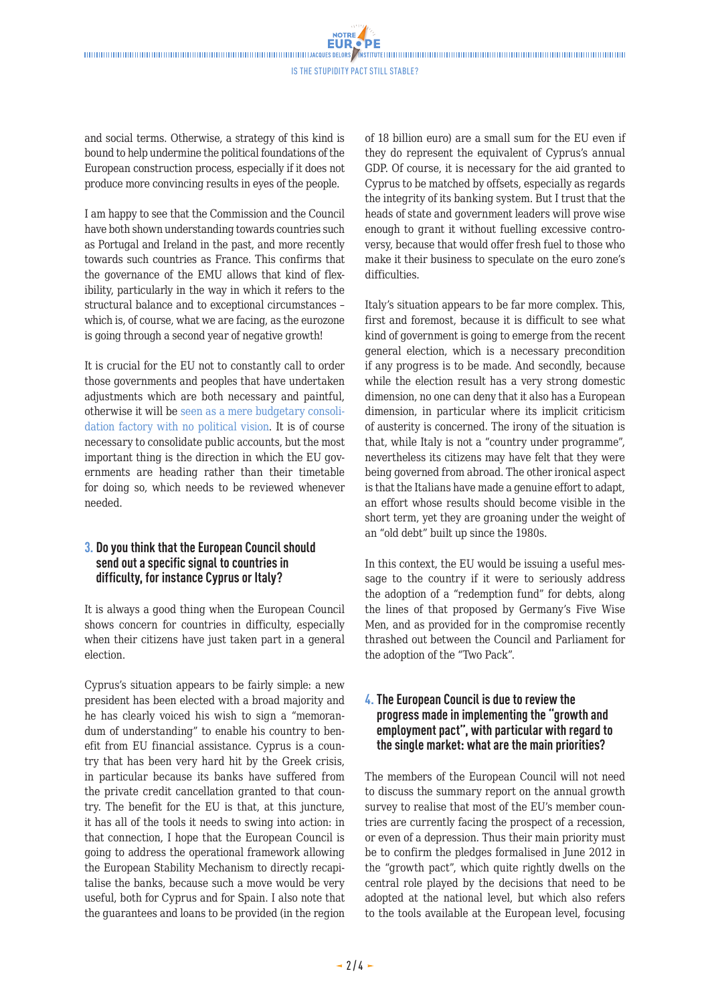Is the Stupidity Pact Still Stable?

and social terms. Otherwise, a strategy of this kind is bound to help undermine the political foundations of the European construction process, especially if it does not produce more convincing results in eyes of the people.

I am happy to see that the Commission and the Council have both shown understanding towards countries such as Portugal and Ireland in the past, and more recently towards such countries as France. This confirms that the governance of the EMU allows that kind of flexibility, particularly in the way in which it refers to the structural balance and to exceptional circumstances – which is, of course, what we are facing, as the eurozone is going through a second year of negative growth!

It is crucial for the EU not to constantly call to order those governments and peoples that have undertaken adjustments which are both necessary and paintful, otherwise it will be [seen as a mere budgetary consoli](http://www.eng.notre-europe.eu/011-14743-A-new-path-for-growth-and-solidarity.html)[dation factory with no political vision.](http://www.eng.notre-europe.eu/011-14743-A-new-path-for-growth-and-solidarity.html) It is of course necessary to consolidate public accounts, but the most important thing is the direction in which the EU governments are heading rather than their timetable for doing so, which needs to be reviewed whenever needed.

## **3. Do you think that the European Council should send out a specific signal to countries in difficulty, for instance Cyprus or Italy?**

It is always a good thing when the European Council shows concern for countries in difficulty, especially when their citizens have just taken part in a general election.

Cyprus's situation appears to be fairly simple: a new president has been elected with a broad majority and he has clearly voiced his wish to sign a "memorandum of understanding" to enable his country to benefit from EU financial assistance. Cyprus is a country that has been very hard hit by the Greek crisis, in particular because its banks have suffered from the private credit cancellation granted to that country. The benefit for the EU is that, at this juncture, it has all of the tools it needs to swing into action: in that connection, I hope that the European Council is going to address the operational framework allowing the European Stability Mechanism to directly recapitalise the banks, because such a move would be very useful, both for Cyprus and for Spain. I also note that the guarantees and loans to be provided (in the region

of 18 billion euro) are a small sum for the EU even if they do represent the equivalent of Cyprus's annual GDP. Of course, it is necessary for the aid granted to Cyprus to be matched by offsets, especially as regards the integrity of its banking system. But I trust that the heads of state and government leaders will prove wise enough to grant it without fuelling excessive controversy, because that would offer fresh fuel to those who make it their business to speculate on the euro zone's difficulties.

Italy's situation appears to be far more complex. This, first and foremost, because it is difficult to see what kind of government is going to emerge from the recent general election, which is a necessary precondition if any progress is to be made. And secondly, because while the election result has a very strong domestic dimension, no one can deny that it also has a European dimension, in particular where its implicit criticism of austerity is concerned. The irony of the situation is that, while Italy is not a "country under programme", nevertheless its citizens may have felt that they were being governed from abroad. The other ironical aspect is that the Italians have made a genuine effort to adapt, an effort whose results should become visible in the short term, yet they are groaning under the weight of an "old debt" built up since the 1980s.

In this context, the EU would be issuing a useful message to the country if it were to seriously address the adoption of a "redemption fund" for debts, along the lines of that proposed by Germany's Five Wise Men, and as provided for in the compromise recently thrashed out between the Council and Parliament for the adoption of the "Two Pack".

## **4.The European Council is due to review the progress made in implementing the "growth and employment pact", with particular with regard to the single market: what are the main priorities?**

The members of the European Council will not need to discuss the summary report on the annual growth survey to realise that most of the EU's member countries are currently facing the prospect of a recession, or even of a depression. Thus their main priority must be to confirm the pledges formalised in June 2012 in the "growth pact", which quite rightly dwells on the central role played by the decisions that need to be adopted at the national level, but which also refers to the tools available at the European level, focusing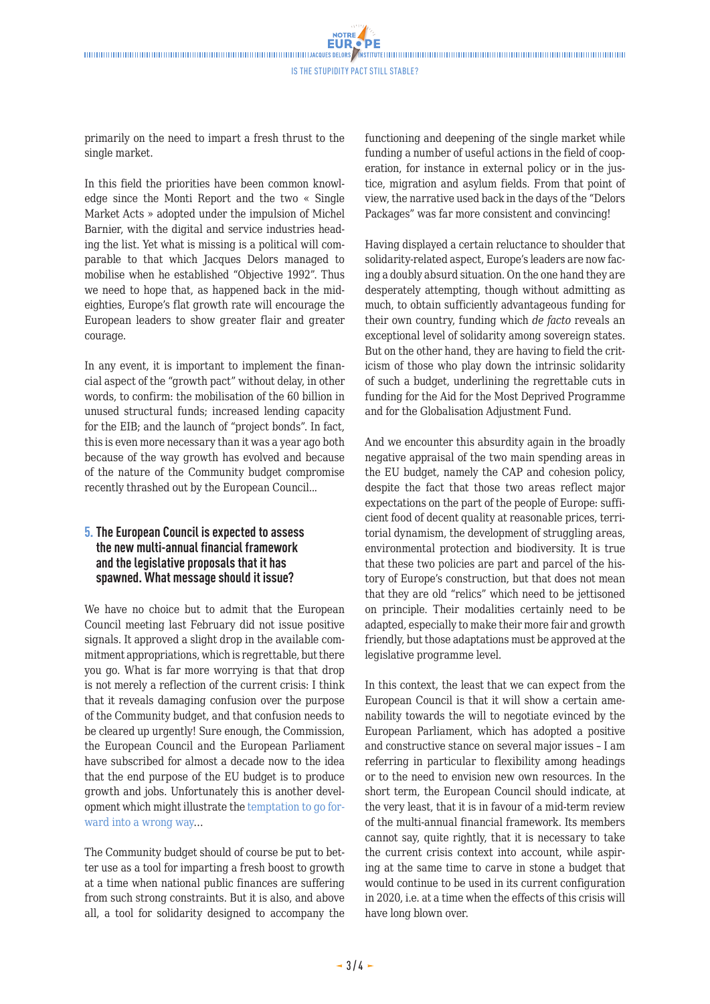**NOTRE** 

primarily on the need to impart a fresh thrust to the single market.

In this field the priorities have been common knowledge since the Monti Report and the two « Single Market Acts » adopted under the impulsion of Michel Barnier, with the digital and service industries heading the list. Yet what is missing is a political will comparable to that which Jacques Delors managed to mobilise when he established "Objective 1992". Thus we need to hope that, as happened back in the mideighties, Europe's flat growth rate will encourage the European leaders to show greater flair and greater courage.

In any event, it is important to implement the financial aspect of the "growth pact" without delay, in other words, to confirm: the mobilisation of the 60 billion in unused structural funds; increased lending capacity for the EIB; and the launch of "project bonds". In fact, this is even more necessary than it was a year ago both because of the way growth has evolved and because of the nature of the Community budget compromise recently thrashed out by the European Council...

## **5.The European Council is expected to assess the new multi-annual financial framework and the legislative proposals that it has spawned. What message should it issue?**

We have no choice but to admit that the European Council meeting last February did not issue positive signals. It approved a slight drop in the available commitment appropriations, which is regrettable, but there you go. What is far more worrying is that that drop is not merely a reflection of the current crisis: I think that it reveals damaging confusion over the purpose of the Community budget, and that confusion needs to be cleared up urgently! Sure enough, the Commission, the European Council and the European Parliament have subscribed for almost a decade now to the idea that the end purpose of the EU budget is to produce growth and jobs. Unfortunately this is another development which might illustrate the [temptation to go for](http://www.eng.notre-europe.eu/011-15007-The-EU-budget-taking-a-second-look.html)[ward into a wrong way](http://www.eng.notre-europe.eu/011-15007-The-EU-budget-taking-a-second-look.html)…

The Community budget should of course be put to better use as a tool for imparting a fresh boost to growth at a time when national public finances are suffering from such strong constraints. But it is also, and above all, a tool for solidarity designed to accompany the functioning and deepening of the single market while funding a number of useful actions in the field of cooperation, for instance in external policy or in the justice, migration and asylum fields. From that point of view, the narrative used back in the days of the "Delors Packages" was far more consistent and convincing!

Having displayed a certain reluctance to shoulder that solidarity-related aspect, Europe's leaders are now facing a doubly absurd situation. On the one hand they are desperately attempting, though without admitting as much, to obtain sufficiently advantageous funding for their own country, funding which *de facto* reveals an exceptional level of solidarity among sovereign states. But on the other hand, they are having to field the criticism of those who play down the intrinsic solidarity of such a budget, underlining the regrettable cuts in funding for the Aid for the Most Deprived Programme and for the Globalisation Adjustment Fund.

And we encounter this absurdity again in the broadly negative appraisal of the two main spending areas in the EU budget, namely the CAP and cohesion policy, despite the fact that those two areas reflect major expectations on the part of the people of Europe: sufficient food of decent quality at reasonable prices, territorial dynamism, the development of struggling areas, environmental protection and biodiversity. It is true that these two policies are part and parcel of the history of Europe's construction, but that does not mean that they are old "relics" which need to be jettisoned on principle. Their modalities certainly need to be adapted, especially to make their more fair and growth friendly, but those adaptations must be approved at the legislative programme level.

In this context, the least that we can expect from the European Council is that it will show a certain amenability towards the will to negotiate evinced by the European Parliament, which has adopted a positive and constructive stance on several major issues – I am referring in particular to flexibility among headings or to the need to envision new own resources. In the short term, the European Council should indicate, at the very least, that it is in favour of a mid-term review of the multi-annual financial framework. Its members cannot say, quite rightly, that it is necessary to take the current crisis context into account, while aspiring at the same time to carve in stone a budget that would continue to be used in its current configuration in 2020, i.e. at a time when the effects of this crisis will have long blown over.